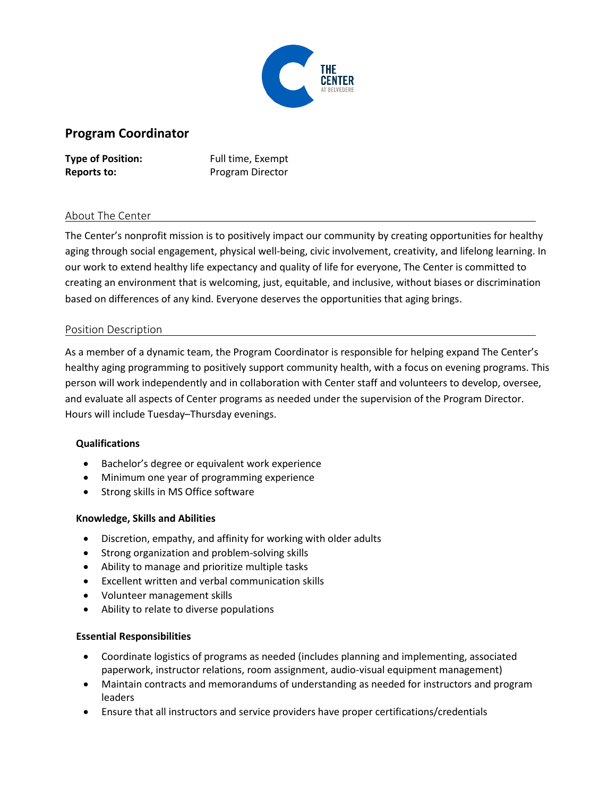

# **Program Coordinator**

**Type of Position:** Full time, Exempt **Reports to:** Program Director

# About The Center

The Center's nonprofit mission is to positively impact our community by creating opportunities for healthy aging through social engagement, physical well-being, civic involvement, creativity, and lifelong learning. In our work to extend healthy life expectancy and quality of life for everyone, The Center is committed to creating an environment that is welcoming, just, equitable, and inclusive, without biases or discrimination based on differences of any kind. Everyone deserves the opportunities that aging brings.

## Position Description

As a member of a dynamic team, the Program Coordinator is responsible for helping expand The Center's healthy aging programming to positively support community health, with a focus on evening programs. This person will work independently and in collaboration with Center staff and volunteers to develop, oversee, and evaluate all aspects of Center programs as needed under the supervision of the Program Director. Hours will include Tuesday–Thursday evenings.

## **Qualifications**

- Bachelor's degree or equivalent work experience
- Minimum one year of programming experience
- Strong skills in MS Office software

## **Knowledge, Skills and Abilities**

- Discretion, empathy, and affinity for working with older adults
- Strong organization and problem-solving skills
- Ability to manage and prioritize multiple tasks
- Excellent written and verbal communication skills
- Volunteer management skills
- Ability to relate to diverse populations

## **Essential Responsibilities**

- Coordinate logistics of programs as needed (includes planning and implementing, associated paperwork, instructor relations, room assignment, audio-visual equipment management)
- Maintain contracts and memorandums of understanding as needed for instructors and program leaders
- Ensure that all instructors and service providers have proper certifications/credentials